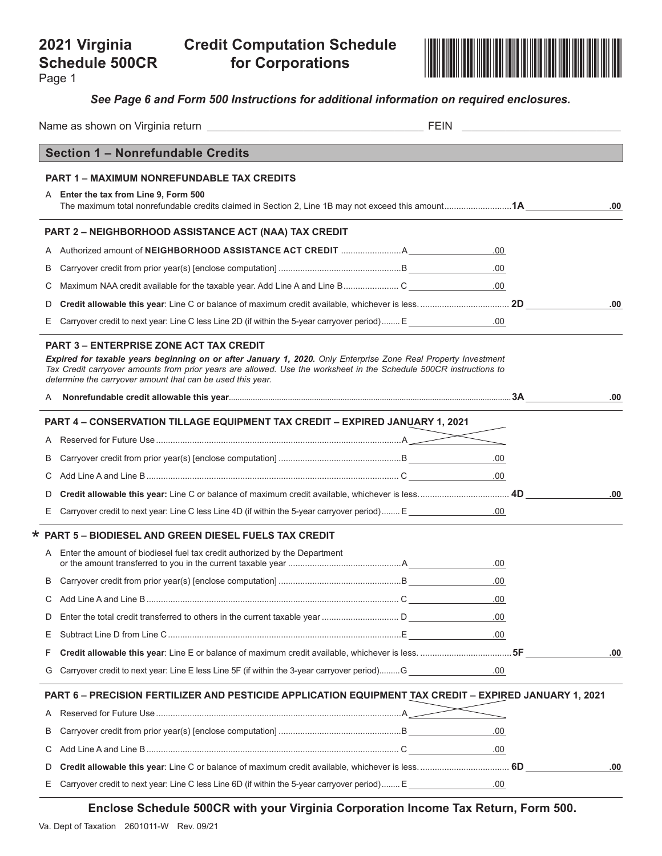# **Schedule 500CR**

**for Corporations**

Page 1



*See Page 6 and Form 500 Instructions for additional information on required enclosures.*

|    | Section 1 - Nonrefundable Credits                                                                                                                                                                                                                                                                                                                    |         |     |
|----|------------------------------------------------------------------------------------------------------------------------------------------------------------------------------------------------------------------------------------------------------------------------------------------------------------------------------------------------------|---------|-----|
|    | PART 1 – MAXIMUM NONREFUNDABLE TAX CREDITS                                                                                                                                                                                                                                                                                                           |         |     |
|    | A Enter the tax from Line 9, Form 500                                                                                                                                                                                                                                                                                                                |         |     |
|    | The maximum total nonrefundable credits claimed in Section 2, Line 1B may not exceed this amount1A                                                                                                                                                                                                                                                   |         | .00 |
|    | PART 2 - NEIGHBORHOOD ASSISTANCE ACT (NAA) TAX CREDIT                                                                                                                                                                                                                                                                                                |         |     |
|    |                                                                                                                                                                                                                                                                                                                                                      | .00.    |     |
| B  |                                                                                                                                                                                                                                                                                                                                                      | .00.    |     |
| С  |                                                                                                                                                                                                                                                                                                                                                      |         |     |
| D  |                                                                                                                                                                                                                                                                                                                                                      |         | .00 |
| E  | Carryover credit to next year: Line C less Line 2D (if within the 5-year carryover period) E                                                                                                                                                                                                                                                         |         |     |
|    | <b>PART 3 – ENTERPRISE ZONE ACT TAX CREDIT</b><br>Expired for taxable years beginning on or after January 1, 2020. Only Enterprise Zone Real Property Investment<br>Tax Credit carryover amounts from prior years are allowed. Use the worksheet in the Schedule 500CR instructions to<br>determine the carryover amount that can be used this year. |         |     |
|    |                                                                                                                                                                                                                                                                                                                                                      |         | .00 |
|    | PART 4 - CONSERVATION TILLAGE EQUIPMENT TAX CREDIT - EXPIRED JANUARY 1, 2021                                                                                                                                                                                                                                                                         |         |     |
| A  |                                                                                                                                                                                                                                                                                                                                                      |         |     |
| B  |                                                                                                                                                                                                                                                                                                                                                      |         |     |
| С  |                                                                                                                                                                                                                                                                                                                                                      |         |     |
| D  |                                                                                                                                                                                                                                                                                                                                                      |         | .00 |
| E  | Carryover credit to next year: Line C less Line 4D (if within the 5-year carryover period) E                                                                                                                                                                                                                                                         |         |     |
|    | * PART 5 - BIODIESEL AND GREEN DIESEL FUELS TAX CREDIT                                                                                                                                                                                                                                                                                               |         |     |
|    | A Enter the amount of biodiesel fuel tax credit authorized by the Department                                                                                                                                                                                                                                                                         | .00.    |     |
| В  |                                                                                                                                                                                                                                                                                                                                                      | .00.    |     |
| С  |                                                                                                                                                                                                                                                                                                                                                      | .00     |     |
| D  |                                                                                                                                                                                                                                                                                                                                                      | .00.    |     |
| Е  |                                                                                                                                                                                                                                                                                                                                                      |         |     |
| F  |                                                                                                                                                                                                                                                                                                                                                      |         | .00 |
| G  | Carryover credit to next year: Line E less Line 5F (if within the 3-year carryover period)G _______________00                                                                                                                                                                                                                                        |         |     |
|    | PART 6 - PRECISION FERTILIZER AND PESTICIDE APPLICATION EQUIPMENT TAX CREDIT - EXPIRED JANUARY 1, 2021                                                                                                                                                                                                                                               |         |     |
| Α  |                                                                                                                                                                                                                                                                                                                                                      |         |     |
| B  |                                                                                                                                                                                                                                                                                                                                                      | .00     |     |
| С  |                                                                                                                                                                                                                                                                                                                                                      | .00.    |     |
| D  |                                                                                                                                                                                                                                                                                                                                                      |         | .00 |
| E. | Carryover credit to next year: Line C less Line 6D (if within the 5-year carryover period) E                                                                                                                                                                                                                                                         | $.00\,$ |     |

**Enclose Schedule 500CR with your Virginia Corporation Income Tax Return, Form 500.**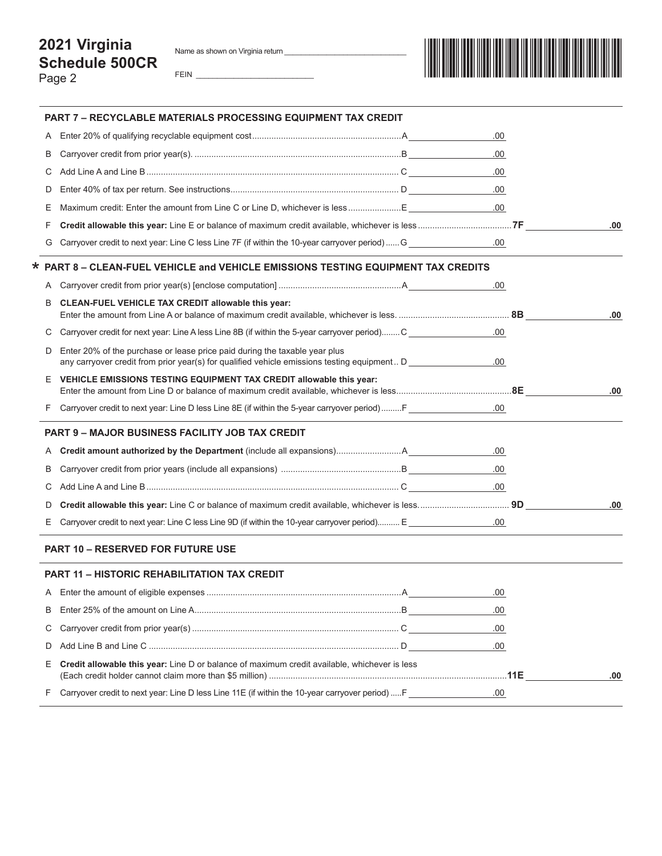### **2021 Virginia Schedule 500CR** Page 2

FEIN \_\_\_\_\_\_\_\_\_\_\_\_\_\_\_\_\_\_\_\_\_\_\_\_\_\_\_\_



|    | <b>PART 7 - RECYCLABLE MATERIALS PROCESSING EQUIPMENT TAX CREDIT</b>                                                                                                      |      |     |
|----|---------------------------------------------------------------------------------------------------------------------------------------------------------------------------|------|-----|
| A  |                                                                                                                                                                           | .00  |     |
| B  |                                                                                                                                                                           | .00. |     |
| С  |                                                                                                                                                                           | .00  |     |
| D  |                                                                                                                                                                           | .00  |     |
| Ε  | Maximum credit: Enter the amount from Line C or Line D, whichever is less E                                                                                               | .00  |     |
| F  |                                                                                                                                                                           |      | .00 |
| G  | 00. Carryover credit to next year: Line C less Line 7F (if within the 10-year carryover period)  G                                                                        |      |     |
|    | * PART 8 - CLEAN-FUEL VEHICLE and VEHICLE EMISSIONS TESTING EQUIPMENT TAX CREDITS                                                                                         |      |     |
| A  |                                                                                                                                                                           | .00  |     |
| B  | CLEAN-FUEL VEHICLE TAX CREDIT allowable this year:                                                                                                                        |      | .00 |
| C  | Carryover credit for next year: Line A less Line 8B (if within the 5-year carryover period) C                                                                             | .00. |     |
| D  | Enter 20% of the purchase or lease price paid during the taxable year plus<br>any carryover credit from prior year(s) for qualified vehicle emissions testing equipment D | .00  |     |
| E. | VEHICLE EMISSIONS TESTING EQUIPMENT TAX CREDIT allowable this year:                                                                                                       |      | .00 |
|    | Carryover credit to next year: Line D less Line 8E (if within the 5-year carryover period)  F                                                                             |      |     |
|    | <b>PART 9 - MAJOR BUSINESS FACILITY JOB TAX CREDIT</b>                                                                                                                    |      |     |
| A  |                                                                                                                                                                           |      |     |
| B  |                                                                                                                                                                           |      |     |
| С  |                                                                                                                                                                           |      |     |
| D  |                                                                                                                                                                           |      | .00 |
| E  | Carryover credit to next year: Line C less Line 9D (if within the 10-year carryover period) E                                                                             |      |     |
|    | <b>PART 10 - RESERVED FOR FUTURE USE</b>                                                                                                                                  |      |     |
|    | <b>PART 11 - HISTORIC REHABILITATION TAX CREDIT</b>                                                                                                                       |      |     |
|    |                                                                                                                                                                           | .00. |     |
| B  |                                                                                                                                                                           | .00  |     |
| С  |                                                                                                                                                                           | .00  |     |
| D  |                                                                                                                                                                           | .00  |     |
| E. | Credit allowable this year: Line D or balance of maximum credit available, whichever is less                                                                              |      | .00 |
| F. | Carryover credit to next year: Line D less Line 11E (if within the 10-year carryover period)  F                                                                           | .00  |     |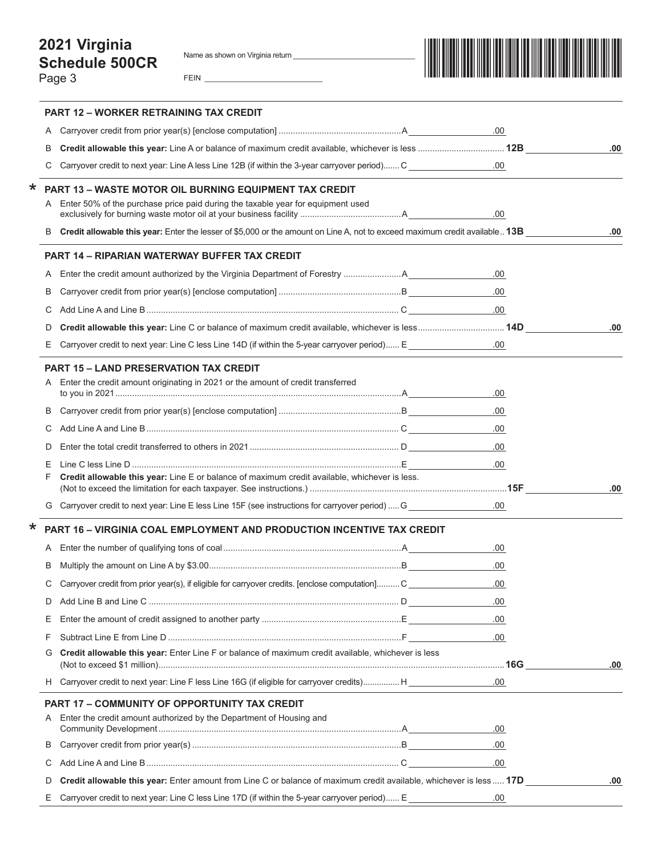Name as shown on Virginia return \_

FEIN  $\perp$ 

|--|--|

|         |        | PART 12 – WORKER RETRAINING TAX CREDIT                                                                                      |          |     |
|---------|--------|-----------------------------------------------------------------------------------------------------------------------------|----------|-----|
|         | Α      |                                                                                                                             | .00      |     |
|         | В      |                                                                                                                             |          | .00 |
|         | С      | Carryover credit to next year: Line A less Line 12B (if within the 3-year carryover period) C                               |          |     |
| $\star$ |        | PART 13 - WASTE MOTOR OIL BURNING EQUIPMENT TAX CREDIT                                                                      |          |     |
|         |        | A Enter 50% of the purchase price paid during the taxable year for equipment used                                           | .00      |     |
|         | B      | Credit allowable this year: Enter the lesser of \$5,000 or the amount on Line A, not to exceed maximum credit available 13B |          | .00 |
|         |        |                                                                                                                             |          |     |
|         |        | <b>PART 14 - RIPARIAN WATERWAY BUFFER TAX CREDIT</b>                                                                        |          |     |
|         | Α      |                                                                                                                             | .00      |     |
|         | В      |                                                                                                                             | .00.     |     |
|         | С      |                                                                                                                             | $.00 \,$ |     |
|         | D      |                                                                                                                             |          | .00 |
|         | Ε      | O. Carryover credit to next year: Line C less Line 14D (if within the 5-year carryover period) E                            |          |     |
|         |        | <b>PART 15 - LAND PRESERVATION TAX CREDIT</b>                                                                               |          |     |
|         |        | Enter the credit amount originating in 2021 or the amount of credit transferred                                             |          |     |
|         |        |                                                                                                                             | .00      |     |
|         | B      |                                                                                                                             | .00.     |     |
|         | С      |                                                                                                                             | .00.     |     |
|         | D      |                                                                                                                             | .00      |     |
|         | Ε<br>F | Credit allowable this year: Line E or balance of maximum credit available, whichever is less.                               | .00.     |     |
|         |        |                                                                                                                             |          | .00 |
|         | G      | Carryover credit to next year: Line E less Line 15F (see instructions for carryover period)  G                              | $.00\,$  |     |
| $\star$ |        | PART 16 - VIRGINIA COAL EMPLOYMENT AND PRODUCTION INCENTIVE TAX CREDIT                                                      |          |     |
|         | A      |                                                                                                                             | .00.     |     |
|         | B      |                                                                                                                             | .00.     |     |
|         | С      | Carryover credit from prior year(s), if eligible for carryover credits. [enclose computation] C                             | .00.     |     |
|         | D      |                                                                                                                             | .00      |     |
|         | Ε      |                                                                                                                             | .00      |     |
|         | F      |                                                                                                                             | .00      |     |
|         | G      | Credit allowable this year: Enter Line F or balance of maximum credit available, whichever is less                          |          | .00 |
|         |        | H Carryover credit to next year: Line F less Line 16G (if eligible for carryover credits) H                                 | .00      |     |
|         |        | <b>PART 17 - COMMUNITY OF OPPORTUNITY TAX CREDIT</b>                                                                        |          |     |
|         |        | Enter the credit amount authorized by the Department of Housing and                                                         |          |     |
|         |        |                                                                                                                             | .00      |     |
|         | B      |                                                                                                                             | .00.     |     |
|         | С      |                                                                                                                             | .00.     |     |
|         | D      | Credit allowable this year: Enter amount from Line C or balance of maximum credit available, whichever is less 17D          |          | .00 |
|         | Ε      | Carryover credit to next year: Line C less Line 17D (if within the 5-year carryover period) E                               | .00      |     |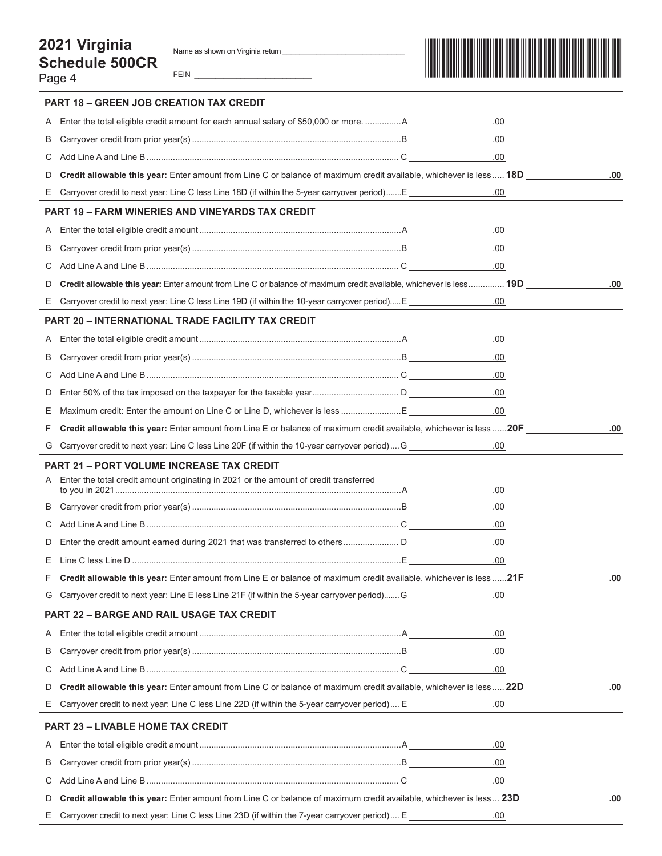### **2021 Virginia Schedule 500CR** Page 4

FEIN



|    | PART 18 - GREEN JOB CREATION TAX CREDIT                                                                                                   |      |     |
|----|-------------------------------------------------------------------------------------------------------------------------------------------|------|-----|
| Α  | Enter the total eligible credit amount for each annual salary of \$50,000 or moreA                                                        | .00  |     |
| B  |                                                                                                                                           | .00. |     |
| С  |                                                                                                                                           | .00. |     |
| D  | Credit allowable this year: Enter amount from Line C or balance of maximum credit available, whichever is less 18D                        |      | .00 |
|    | E Carryover credit to next year: Line C less Line 18D (if within the 5-year carryover period)E                                            | .00  |     |
|    | <b>PART 19 - FARM WINERIES AND VINEYARDS TAX CREDIT</b>                                                                                   |      |     |
| Α  |                                                                                                                                           | .00  |     |
| В  |                                                                                                                                           | .00. |     |
| С  |                                                                                                                                           | .00. |     |
| D  | Credit allowable this year: Enter amount from Line C or balance of maximum credit available, whichever is less 19D                        |      | .00 |
|    | E Carryover credit to next year: Line C less Line 19D (if within the 10-year carryover period) E                                          | .00  |     |
|    | <b>PART 20 - INTERNATIONAL TRADE FACILITY TAX CREDIT</b>                                                                                  |      |     |
| A  |                                                                                                                                           | .00  |     |
| B  |                                                                                                                                           | .00  |     |
| С  |                                                                                                                                           | .00. |     |
| D  |                                                                                                                                           | .00. |     |
| Ε  | Maximum credit: Enter the amount on Line C or Line D, whichever is less E                                                                 | .00. |     |
| F  | Credit allowable this year: Enter amount from Line E or balance of maximum credit available, whichever is less 20F                        |      | .00 |
|    | G Carryover credit to next year: Line C less Line 20F (if within the 10-year carryover period) G _______________                          | .00  |     |
| A  | <b>PART 21 - PORT VOLUME INCREASE TAX CREDIT</b><br>Enter the total credit amount originating in 2021 or the amount of credit transferred | .00. |     |
| B  |                                                                                                                                           | .00. |     |
| С  |                                                                                                                                           | .00. |     |
| D  |                                                                                                                                           | .00. |     |
| Ε  |                                                                                                                                           | .00. |     |
|    | Credit allowable this year: Enter amount from Line E or balance of maximum credit available, whichever is less 21F                        |      | .00 |
|    | G Carryover credit to next year: Line E less Line 21F (if within the 5-year carryover period) G                                           | .00  |     |
|    | <b>PART 22 - BARGE AND RAIL USAGE TAX CREDIT</b>                                                                                          |      |     |
| A  |                                                                                                                                           | .00. |     |
| B  |                                                                                                                                           | .00. |     |
| С  |                                                                                                                                           | .00. |     |
| D  | Credit allowable this year: Enter amount from Line C or balance of maximum credit available, whichever is less  22D                       |      | .00 |
| Е. | Carryover credit to next year: Line C less Line 22D (if within the 5-year carryover period)  E                                            | .00  |     |
|    | PART 23 - LIVABLE HOME TAX CREDIT                                                                                                         |      |     |
| A  |                                                                                                                                           | .00  |     |
| B  |                                                                                                                                           | .00. |     |
| C  |                                                                                                                                           | .00  |     |
| D  | Credit allowable this year: Enter amount from Line C or balance of maximum credit available, whichever is less 23D                        |      | .00 |
| Е. | Carryover credit to next year: Line C less Line 23D (if within the 7-year carryover period)  E                                            | .00  |     |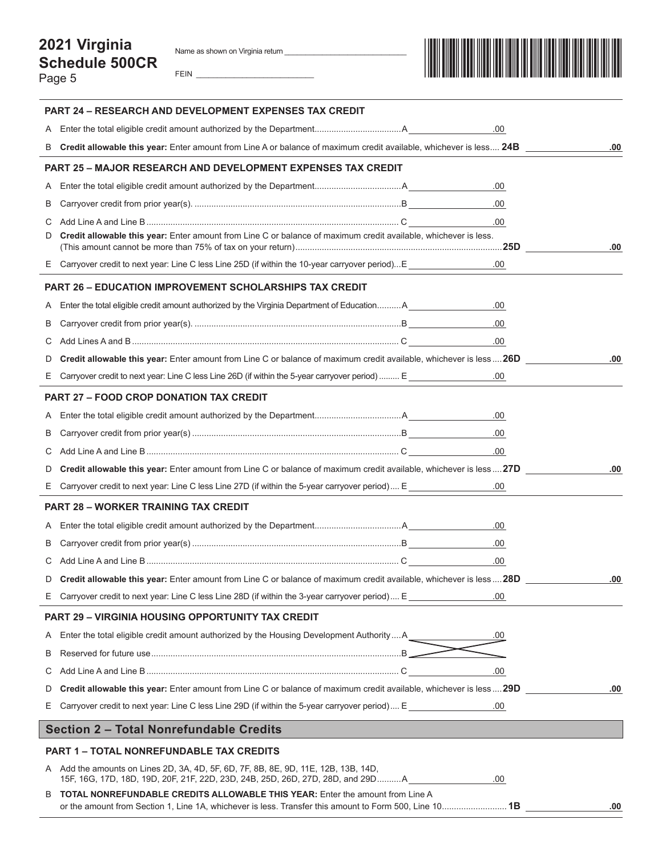## **2021 Virginia Schedule 500CR**

Page 5

FEIN \_\_\_\_\_\_\_\_\_\_\_\_\_\_\_\_\_\_\_\_\_\_\_\_\_\_\_\_



|    | <b>PART 24 - RESEARCH AND DEVELOPMENT EXPENSES TAX CREDIT</b>                                                                                                                            |         |      |
|----|------------------------------------------------------------------------------------------------------------------------------------------------------------------------------------------|---------|------|
|    |                                                                                                                                                                                          | .00     |      |
| B  | Credit allowable this year: Enter amount from Line A or balance of maximum credit available, whichever is less 24B                                                                       |         | .00  |
|    | <b>PART 25 - MAJOR RESEARCH AND DEVELOPMENT EXPENSES TAX CREDIT</b>                                                                                                                      |         |      |
| A  |                                                                                                                                                                                          | .00.    |      |
| B  |                                                                                                                                                                                          | .00     |      |
| С  |                                                                                                                                                                                          | .00     |      |
| D  | Credit allowable this year: Enter amount from Line C or balance of maximum credit available, whichever is less.                                                                          |         | .00  |
|    | E Carryover credit to next year: Line C less Line 25D (if within the 10-year carryover period)E ___________                                                                              | .00.    |      |
|    | <b>PART 26 - EDUCATION IMPROVEMENT SCHOLARSHIPS TAX CREDIT</b>                                                                                                                           |         |      |
| A  | Enter the total eligible credit amount authorized by the Virginia Department of Education A                                                                                              | .00     |      |
| B  |                                                                                                                                                                                          |         |      |
| С  |                                                                                                                                                                                          |         |      |
| D  | Credit allowable this year: Enter amount from Line C or balance of maximum credit available, whichever is less 26D                                                                       |         | .00. |
| Е. | Carryover credit to next year: Line C less Line 26D (if within the 5-year carryover period)  E                                                                                           | .00     |      |
|    | <b>PART 27 - FOOD CROP DONATION TAX CREDIT</b>                                                                                                                                           |         |      |
| A  |                                                                                                                                                                                          | .00.    |      |
| B  |                                                                                                                                                                                          | .00     |      |
| С  |                                                                                                                                                                                          | .00.    |      |
| D  | Credit allowable this year: Enter amount from Line C or balance of maximum credit available, whichever is less27D                                                                        |         | .00. |
|    | E Carryover credit to next year: Line C less Line 27D (if within the 5-year carryover period)  E                                                                                         | $.00\,$ |      |
|    | <b>PART 28 - WORKER TRAINING TAX CREDIT</b>                                                                                                                                              |         |      |
| A  |                                                                                                                                                                                          | .00.    |      |
| В  |                                                                                                                                                                                          | .00.    |      |
| С  |                                                                                                                                                                                          | .00.    |      |
| D  | Credit allowable this year: Enter amount from Line C or balance of maximum credit available, whichever is less  28D                                                                      |         | .00  |
|    | E Carryover credit to next year: Line C less Line 28D (if within the 3-year carryover period)  E _                                                                                       | .00     |      |
|    | <b>PART 29 - VIRGINIA HOUSING OPPORTUNITY TAX CREDIT</b>                                                                                                                                 |         |      |
| A  | Enter the total eligible credit amount authorized by the Housing Development Authority  A                                                                                                | .00     |      |
| В  |                                                                                                                                                                                          |         |      |
| C. |                                                                                                                                                                                          | .00.    |      |
| D  | Credit allowable this year: Enter amount from Line C or balance of maximum credit available, whichever is less  29D                                                                      |         | .00  |
| Е. | Carryover credit to next year: Line C less Line 29D (if within the 5-year carryover period)  E                                                                                           | .00     |      |
|    | <b>Section 2 - Total Nonrefundable Credits</b>                                                                                                                                           |         |      |
|    | <b>PART 1 - TOTAL NONREFUNDABLE TAX CREDITS</b>                                                                                                                                          |         |      |
|    | A Add the amounts on Lines 2D, 3A, 4D, 5F, 6D, 7F, 8B, 8E, 9D, 11E, 12B, 13B, 14D,<br>15F, 16G, 17D, 18D, 19D, 20F, 21F, 22D, 23D, 24B, 25D, 26D, 27D, 28D, and 29DA                     | .00.    |      |
|    | B TOTAL NONREFUNDABLE CREDITS ALLOWABLE THIS YEAR: Enter the amount from Line A<br>or the amount from Section 1, Line 1A, whichever is less. Transfer this amount to Form 500, Line 101B |         | .00  |